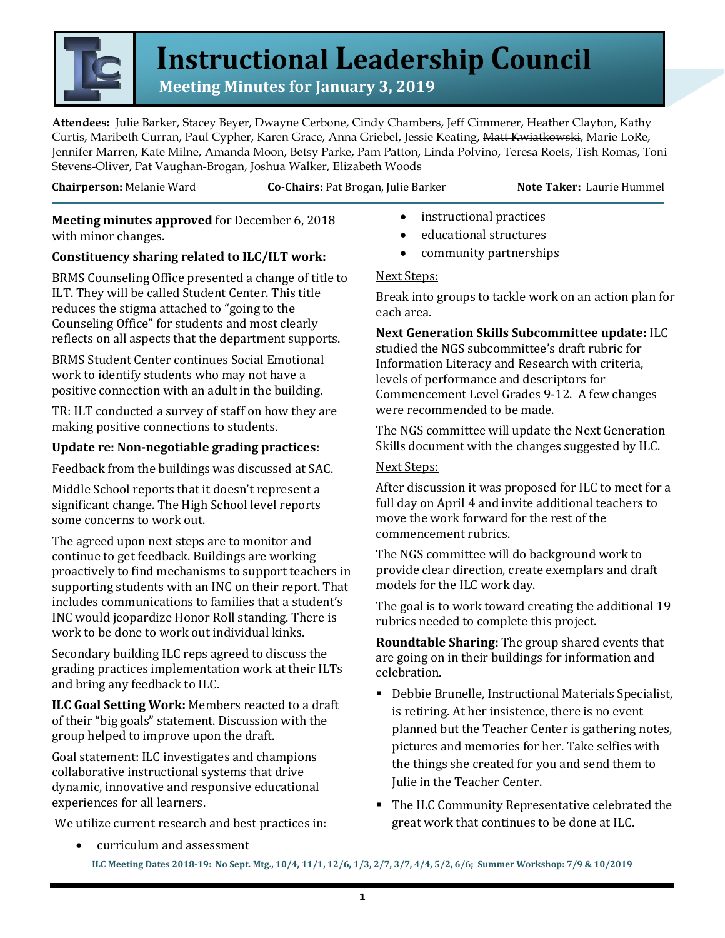

# **Instructional Leadership Council**<br>Meeting Minutes for January 3, 2019

**Attendees:** Julie Barker, Stacey Beyer, Dwayne Cerbone, Cindy Chambers, Jeff Cimmerer, Heather Clayton, Kathy Curtis, Maribeth Curran, Paul Cypher, Karen Grace, Anna Griebel, Jessie Keating, Matt Kwiatkowski, Marie LoRe, Jennifer Marren, Kate Milne, Amanda Moon, Betsy Parke, Pam Patton, Linda Polvino, Teresa Roets, Tish Romas, Toni Stevens-Oliver, Pat Vaughan-Brogan, Joshua Walker, Elizabeth Woods

**Chairperson:** Melanie Ward **Co-Chairs:** Pat Brogan, Julie Barker **Note Taker:** Laurie Hummel

**Meeting minutes approved** for December 6, 2018 with minor changes.

# **Constituency sharing related to ILC/ILT work:**

BRMS Counseling Office presented a change of title to ILT. They will be called Student Center. This title reduces the stigma attached to "going to the Counseling Office" for students and most clearly reflects on all aspects that the department supports.

BRMS Student Center continues Social Emotional work to identify students who may not have a positive connection with an adult in the building.

TR: ILT conducted a survey of staff on how they are making positive connections to students.

# **Update re: Non-negotiable grading practices:**

Feedback from the buildings was discussed at SAC.

Middle School reports that it doesn't represent a significant change. The High School level reports some concerns to work out.

The agreed upon next steps are to monitor and continue to get feedback. Buildings are working proactively to find mechanisms to support teachers in supporting students with an INC on their report. That includes communications to families that a student's INC would jeopardize Honor Roll standing. There is work to be done to work out individual kinks.

Secondary building ILC reps agreed to discuss the grading practices implementation work at their ILTs and bring any feedback to ILC.

**ILC Goal Setting Work:** Members reacted to a draft of their "big goals" statement. Discussion with the group helped to improve upon the draft.

Goal statement: ILC investigates and champions collaborative instructional systems that drive dynamic, innovative and responsive educational experiences for all learners.

We utilize current research and best practices in:

- instructional practices
- educational structures
- community partnerships

### Next Steps:

Break into groups to tackle work on an action plan for each area.

# **Next Generation Skills Subcommittee update:** ILC

studied the NGS subcommittee's draft rubric for Information Literacy and Research with criteria, levels of performance and descriptors for Commencement Level Grades 9-12. A few changes were recommended to be made.

The NGS committee will update the Next Generation Skills document with the changes suggested by ILC.

#### Next Steps:

After discussion it was proposed for ILC to meet for a full day on April 4 and invite additional teachers to move the work forward for the rest of the commencement rubrics.

The NGS committee will do background work to provide clear direction, create exemplars and draft models for the ILC work day.

The goal is to work toward creating the additional 19 rubrics needed to complete this project.

**Roundtable Sharing:** The group shared events that are going on in their buildings for information and celebration.

- Debbie Brunelle, Instructional Materials Specialist, is retiring. At her insistence, there is no event planned but the Teacher Center is gathering notes, pictures and memories for her. Take selfies with the things she created for you and send them to Julie in the Teacher Center.
- **The ILC Community Representative celebrated the** great work that continues to be done at ILC.
- **ILC Meeting Dates 2018-19: No Sept. Mtg., 10/4, 11/1, 12/6, 1/3, 2/7, 3/7, 4/4, 5/2, 6/6; Summer Workshop: 7/9 & 10/2019** • curriculum and assessment